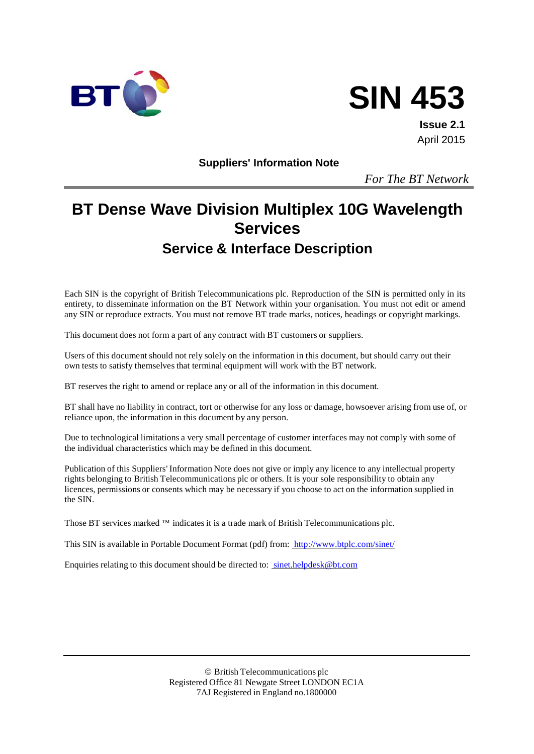



**Issue 2.1** April 2015

**Suppliers' Information Note**

*For The BT Network*

# **BT Dense Wave Division Multiplex 10G Wavelength Services Service & Interface Description**

Each SIN is the copyright of British Telecommunications plc. Reproduction of the SIN is permitted only in its entirety, to disseminate information on the BT Network within your organisation. You must not edit or amend any SIN or reproduce extracts. You must not remove BT trade marks, notices, headings or copyright markings.

This document does not form a part of any contract with BT customers or suppliers.

Users of this document should not rely solely on the information in this document, but should carry out their own tests to satisfy themselves that terminal equipment will work with the BT network.

BT reserves the right to amend or replace any or all of the information in this document.

BT shall have no liability in contract, tort or otherwise for any loss or damage, howsoever arising from use of, or reliance upon, the information in this document by any person.

Due to technological limitations a very small percentage of customer interfaces may not comply with some of the individual characteristics which may be defined in this document.

Publication of this Suppliers' Information Note does not give or imply any licence to any intellectual property rights belonging to British Telecommunications plc or others. It is your sole responsibility to obtain any licences, permissions or consents which may be necessary if you choose to act on the information supplied in the SIN.

Those BT services marked  $TM$  indicates it is a trade mark of British Telecommunications plc.

This SIN is available in Portable Document Format (pdf) from: <http://www.btplc.com/sinet/>

Enquiries relating to this document should be directed to: [sinet.helpdesk@bt.com](mailto:sinet.helpdesk@bt.com)

 British Telecommunications plc Registered Office 81 Newgate Street LONDON EC1A 7AJ Registered in England no.1800000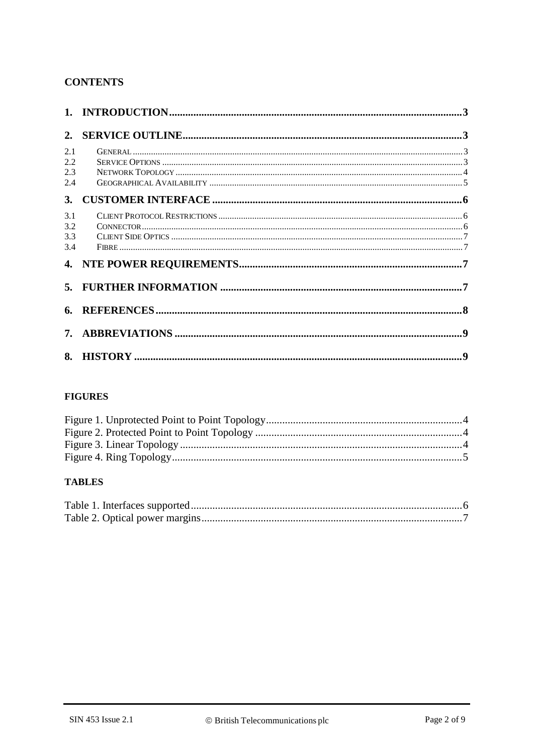# **CONTENTS**

| 2.                       |  |
|--------------------------|--|
| 2.1<br>2.2<br>2.3<br>2.4 |  |
| 3.                       |  |
| 3.1<br>3.2<br>3.3<br>3.4 |  |
|                          |  |
|                          |  |
|                          |  |
|                          |  |
|                          |  |

# **FIGURES**

### **TABLES**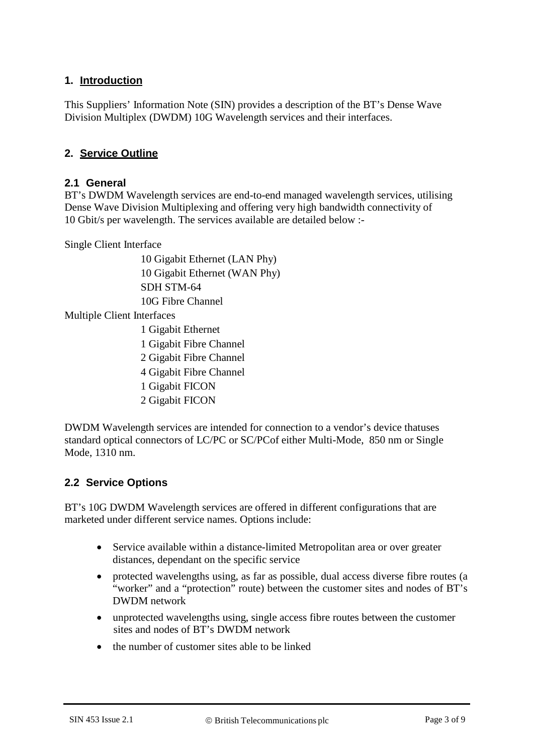# **1. Introduction**

This Suppliers' Information Note (SIN) provides a description of the BT's Dense Wave Division Multiplex (DWDM) 10G Wavelength services and their interfaces.

#### **2. Service Outline**

#### **2.1 General**

BT's DWDM Wavelength services are end-to-end managed wavelength services, utilising Dense Wave Division Multiplexing and offering very high bandwidth connectivity of 10 Gbit/s per wavelength. The services available are detailed below :-

Single Client Interface

10 Gigabit Ethernet (LAN Phy) 10 Gigabit Ethernet (WAN Phy) SDH STM-64 10G Fibre Channel

Multiple Client Interfaces

- 1 Gigabit Ethernet
- 1 Gigabit Fibre Channel
- 2 Gigabit Fibre Channel
- 4 Gigabit Fibre Channel
- 1 Gigabit FICON
- 2 Gigabit FICON

DWDM Wavelength services are intended for connection to a vendor's device thatuses standard optical connectors of LC/PC or SC/PCof either Multi-Mode, 850 nm or Single Mode, 1310 nm.

#### **2.2 Service Options**

BT's 10G DWDM Wavelength services are offered in different configurations that are marketed under different service names. Options include:

- Service available within a distance-limited Metropolitan area or over greater distances, dependant on the specific service
- protected wavelengths using, as far as possible, dual access diverse fibre routes (a "worker" and a "protection" route) between the customer sites and nodes of BT's DWDM network
- unprotected wavelengths using, single access fibre routes between the customer sites and nodes of BT's DWDM network
- the number of customer sites able to be linked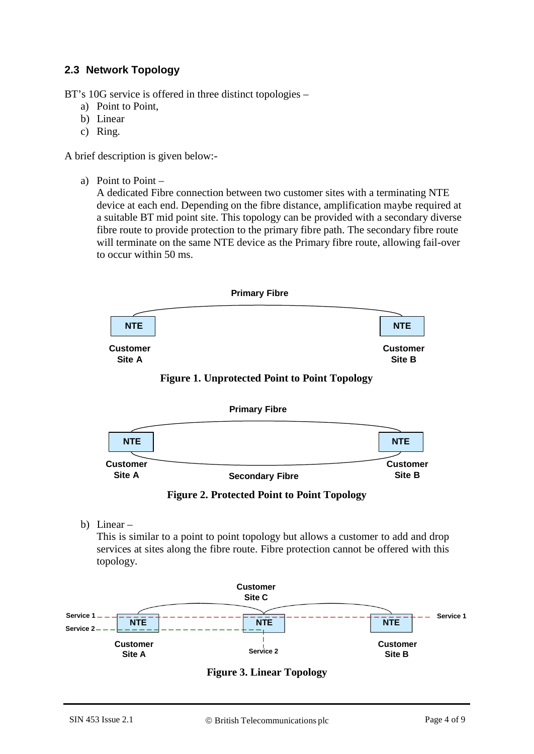# **2.3 Network Topology**

BT's 10G service is offered in three distinct topologies –

- a) Point to Point,
- b) Linear
- c) Ring.

A brief description is given below:-

a) Point to Point –

A dedicated Fibre connection between two customer sites with a terminating NTE device at each end. Depending on the fibre distance, amplification maybe required at a suitable BT mid point site. This topology can be provided with a secondary diverse fibre route to provide protection to the primary fibre path. The secondary fibre route will terminate on the same NTE device as the Primary fibre route, allowing fail-over to occur within 50 ms.







**Figure 2. Protected Point to Point Topology**

b) Linear –

This is similar to a point to point topology but allows a customer to add and drop services at sites along the fibre route. Fibre protection cannot be offered with this topology.



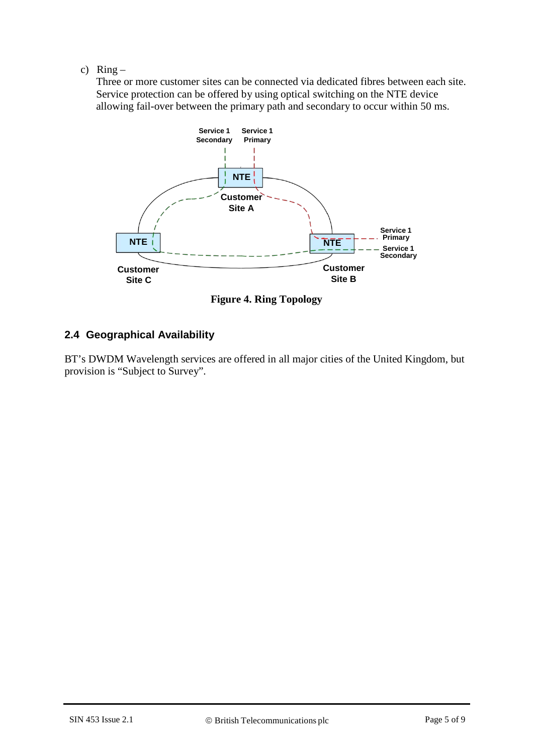#### c)  $Ring -$

Three or more customer sites can be connected via dedicated fibres between each site. Service protection can be offered by using optical switching on the NTE device allowing fail-over between the primary path and secondary to occur within 50 ms.



**Figure 4. Ring Topology**

# **2.4 Geographical Availability**

BT's DWDM Wavelength services are offered in all major cities of the United Kingdom, but provision is "Subject to Survey".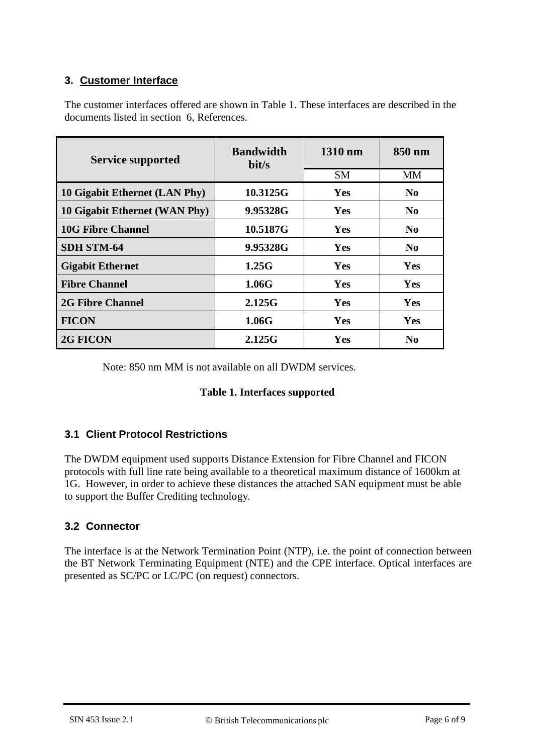# **3. Customer Interface**

| <b>Service supported</b>      | <b>Bandwidth</b><br>bit/s | 1310 nm   | 850 nm         |  |
|-------------------------------|---------------------------|-----------|----------------|--|
|                               |                           | <b>SM</b> | MМ             |  |
| 10 Gigabit Ethernet (LAN Phy) | 10.3125G                  | Yes       | N <sub>0</sub> |  |
| 10 Gigabit Ethernet (WAN Phy) | 9.95328G                  | Yes       | N <sub>0</sub> |  |
| <b>10G Fibre Channel</b>      | 10.5187G                  | Yes       | $\bf No$       |  |
| <b>SDH STM-64</b>             | 9.95328G                  | Yes       | $\bf No$       |  |
| <b>Gigabit Ethernet</b>       | 1.25G                     | Yes       | <b>Yes</b>     |  |
| <b>Fibre Channel</b>          | 1.06G                     | Yes       | Yes            |  |
| <b>2G Fibre Channel</b>       | 2.125G                    | Yes       | Yes            |  |
| <b>FICON</b>                  | 1.06G                     | Yes       | Yes            |  |

The customer interfaces offered are shown in Table 1. These interfaces are described in the documents listed in section 6, References.

Note: 850 nm MM is not available on all DWDM services.

**2G FICON 2.125G Yes No**

#### **Table 1. Interfaces supported**

# **3.1 Client Protocol Restrictions**

The DWDM equipment used supports Distance Extension for Fibre Channel and FICON protocols with full line rate being available to a theoretical maximum distance of 1600km at 1G. However, in order to achieve these distances the attached SAN equipment must be able to support the Buffer Crediting technology.

#### **3.2 Connector**

The interface is at the Network Termination Point (NTP), i.e. the point of connection between the BT Network Terminating Equipment (NTE) and the CPE interface. Optical interfaces are presented as SC/PC or LC/PC (on request) connectors.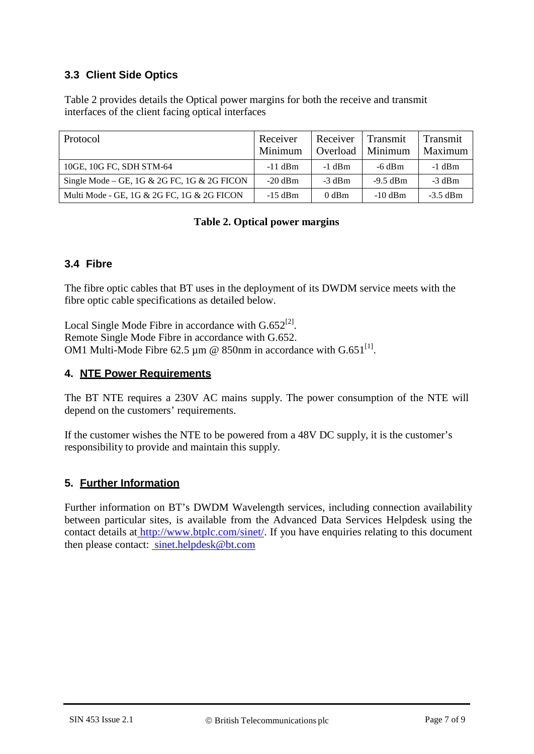# **3.3 Client Side Optics**

Table 2 provides details the Optical power margins for both the receive and transmit interfaces of the client facing optical interfaces

| Protocol                                    | Receiver<br>Minimum | Receiver<br>Overload | Transmit<br>Minimum | Transmit<br>Maximum |
|---------------------------------------------|---------------------|----------------------|---------------------|---------------------|
| 10GE, 10G FC, SDH STM-64                    | $-11$ dBm           | $-1$ dBm             | $-6$ dBm            | $-1$ dBm            |
| Single Mode – GE, 1G & 2G FC, 1G & 2G FICON | $-20$ dBm           | $-3$ dBm             | $-9.5$ dBm          | $-3$ dBm            |
| Multi Mode - GE, 1G & 2G FC, 1G & 2G FICON  | $-15$ dBm           | $0$ dBm              | $-10$ dBm           | $-3.5$ dBm          |

### **Table 2. Optical power margins**

### **3.4 Fibre**

The fibre optic cables that BT uses in the deployment of its DWDM service meets with the fibre optic cable specifications as detailed below.

Local Single Mode Fibre in accordance with  $G.652^{[2]}$ . Remote Single Mode Fibre in accordance with G.652. OM1 Multi-Mode Fibre 62.5  $\mu$ m @ 850nm in accordance with G.651<sup>[1]</sup>.

#### **4. NTE Power Requirements**

The BT NTE requires a 230V AC mains supply. The power consumption of the NTE will depend on the customers' requirements.

If the customer wishes the NTE to be powered from a 48V DC supply, it is the customer's responsibility to provide and maintain this supply.

# **5. Further Information**

Further information on BT's DWDM Wavelength services, including connection availability between particular sites, is available from the Advanced Data Services Helpdesk using the contact details at [http://www.btplc.com/sinet/.](http://www.btplc.com/sinet/) If you have enquiries relating to this document then please contact: [sinet.helpdesk@bt.com](mailto:sinet.helpdesk@bt.com)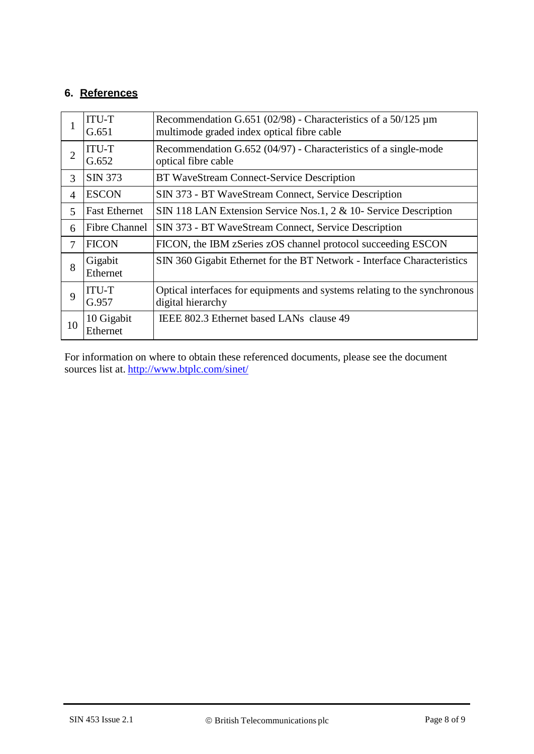# **6. References**

|                | <b>ITU-T</b><br>G.651  | Recommendation G.651 (02/98) - Characteristics of a 50/125 $\mu$ m<br>multimode graded index optical fibre cable |
|----------------|------------------------|------------------------------------------------------------------------------------------------------------------|
| $\overline{2}$ | <b>ITU-T</b><br>G.652  | Recommendation G.652 (04/97) - Characteristics of a single-mode<br>optical fibre cable                           |
| 3              | <b>SIN 373</b>         | BT WaveStream Connect-Service Description                                                                        |
| 4              | <b>ESCON</b>           | SIN 373 - BT WaveStream Connect, Service Description                                                             |
| 5              | <b>Fast Ethernet</b>   | SIN 118 LAN Extension Service Nos.1, 2 & 10- Service Description                                                 |
| 6              | <b>Fibre Channel</b>   | SIN 373 - BT WaveStream Connect, Service Description                                                             |
| 7              | <b>FICON</b>           | FICON, the IBM zSeries zOS channel protocol succeeding ESCON                                                     |
| 8              | Gigabit<br>Ethernet    | SIN 360 Gigabit Ethernet for the BT Network - Interface Characteristics                                          |
| 9              | <b>ITU-T</b><br>G.957  | Optical interfaces for equipments and systems relating to the synchronous<br>digital hierarchy                   |
| 10             | 10 Gigabit<br>Ethernet | IEEE 802.3 Ethernet based LANs clause 49                                                                         |

For information on where to obtain these referenced documents, please see the document sources list at. <http://www.btplc.com/sinet/>